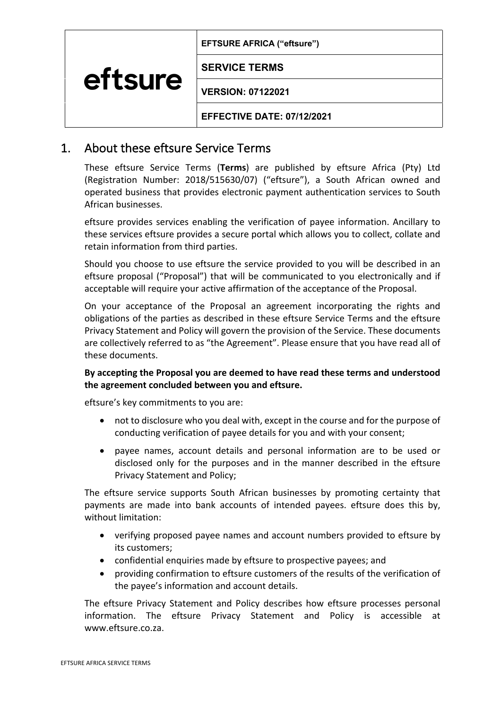**EFTSURE AFRICA ("eftsure")**

**SERVICE TERMS** eftsure

**VERSION: 07122021**

**EFFECTIVE DATE: 07/12/2021**

# 1. About these eftsure Service Terms

These eftsure Service Terms (**Terms**) are published by eftsure Africa (Pty) Ltd (Registration Number: 2018/515630/07) ("eftsure"), a South African owned and operated business that provides electronic payment authentication services to South African businesses.

eftsure provides services enabling the verification of payee information. Ancillary to these services eftsure provides a secure portal which allows you to collect, collate and retain information from third parties.

Should you choose to use eftsure the service provided to you will be described in an eftsure proposal ("Proposal") that will be communicated to you electronically and if acceptable will require your active affirmation of the acceptance of the Proposal.

On your acceptance of the Proposal an agreement incorporating the rights and obligations of the parties as described in these eftsure Service Terms and the eftsure Privacy Statement and Policy will govern the provision of the Service. These documents are collectively referred to as "the Agreement". Please ensure that you have read all of these documents.

#### **By accepting the Proposal you are deemed to have read these terms and understood the agreement concluded between you and eftsure.**

eftsure's key commitments to you are:

- not to disclosure who you deal with, except in the course and for the purpose of conducting verification of payee details for you and with your consent;
- payee names, account details and personal information are to be used or disclosed only for the purposes and in the manner described in the eftsure Privacy Statement and Policy;

The eftsure service supports South African businesses by promoting certainty that payments are made into bank accounts of intended payees. eftsure does this by, without limitation:

- verifying proposed payee names and account numbers provided to eftsure by its customers;
- confidential enquiries made by eftsure to prospective payees; and
- providing confirmation to eftsure customers of the results of the verification of the payee's information and account details.

The eftsure Privacy Statement and Policy describes how eftsure processes personal information. The eftsure Privacy Statement and Policy is accessible at www.eftsure.co.za.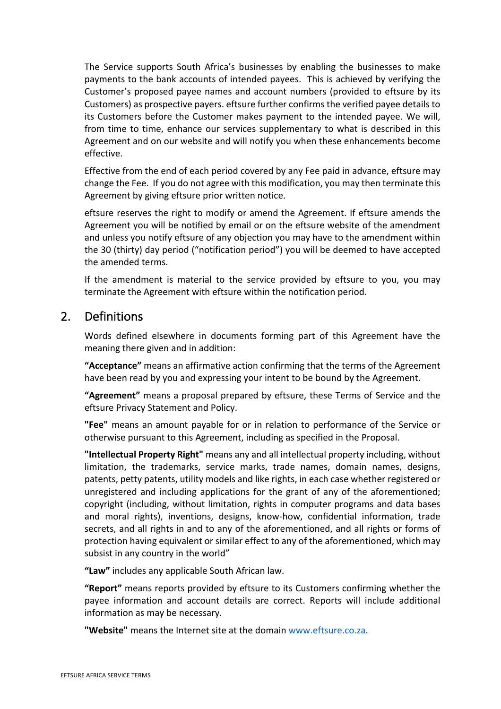The Service supports South Africa's businesses by enabling the businesses to make payments to the bank accounts of intended payees. This is achieved by verifying the Customer's proposed payee names and account numbers (provided to eftsure by its Customers) as prospective payers. eftsure further confirms the verified payee details to its Customers before the Customer makes payment to the intended payee. We will, from time to time, enhance our services supplementary to what is described in this Agreement and on our website and will notify you when these enhancements become effective.

Effective from the end of each period covered by any Fee paid in advance, eftsure may change the Fee. If you do not agree with this modification, you may then terminate this Agreement by giving eftsure prior written notice.

eftsure reserves the right to modify or amend the Agreement. If eftsure amends the Agreement you will be notified by email or on the eftsure website of the amendment and unless you notify eftsure of any objection you may have to the amendment within the 30 (thirty) day period ("notification period") you will be deemed to have accepted the amended terms.

If the amendment is material to the service provided by eftsure to you, you may terminate the Agreement with eftsure within the notification period.

### 2. Definitions

Words defined elsewhere in documents forming part of this Agreement have the meaning there given and in addition:

**"Acceptance"** means an affirmative action confirming that the terms of the Agreement have been read by you and expressing your intent to be bound by the Agreement.

**"Agreement"** means a proposal prepared by eftsure, these Terms of Service and the eftsure Privacy Statement and Policy.

**"Fee"** means an amount payable for or in relation to performance of the Service or otherwise pursuant to this Agreement, including as specified in the Proposal.

**"Intellectual Property Right"** means any and all intellectual property including, without limitation, the trademarks, service marks, trade names, domain names, designs, patents, petty patents, utility models and like rights, in each case whether registered or unregistered and including applications for the grant of any of the aforementioned; copyright (including, without limitation, rights in computer programs and data bases and moral rights), inventions, designs, know-how, confidential information, trade secrets, and all rights in and to any of the aforementioned, and all rights or forms of protection having equivalent or similar effect to any of the aforementioned, which may subsist in any country in the world"

**"Law"** includes any applicable South African law.

**"Report"** means reports provided by eftsure to its Customers confirming whether the payee information and account details are correct. Reports will include additional information as may be necessary.

**"Website"** means the Internet site at the domain www.eftsure.co.za.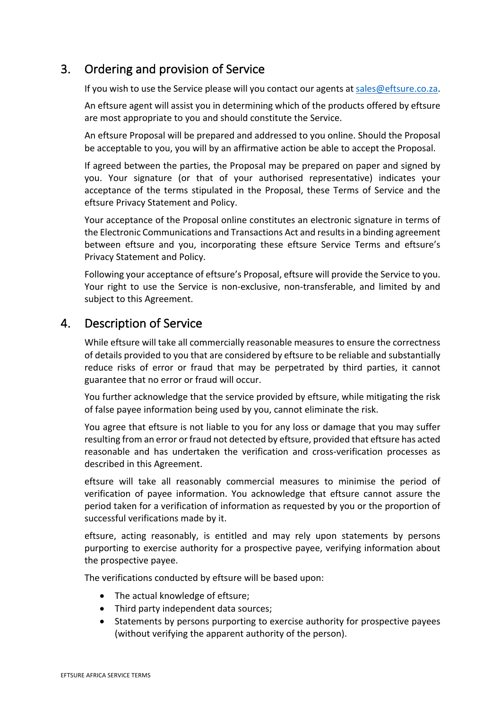## 3. Ordering and provision of Service

If you wish to use the Service please will you contact our agents at sales@eftsure.co.za.

An eftsure agent will assist you in determining which of the products offered by eftsure are most appropriate to you and should constitute the Service.

An eftsure Proposal will be prepared and addressed to you online. Should the Proposal be acceptable to you, you will by an affirmative action be able to accept the Proposal.

If agreed between the parties, the Proposal may be prepared on paper and signed by you. Your signature (or that of your authorised representative) indicates your acceptance of the terms stipulated in the Proposal, these Terms of Service and the eftsure Privacy Statement and Policy.

Your acceptance of the Proposal online constitutes an electronic signature in terms of the Electronic Communications and Transactions Act and results in a binding agreement between eftsure and you, incorporating these eftsure Service Terms and eftsure's Privacy Statement and Policy.

Following your acceptance of eftsure's Proposal, eftsure will provide the Service to you. Your right to use the Service is non-exclusive, non-transferable, and limited by and subject to this Agreement.

## 4. Description of Service

While eftsure will take all commercially reasonable measures to ensure the correctness of details provided to you that are considered by eftsure to be reliable and substantially reduce risks of error or fraud that may be perpetrated by third parties, it cannot guarantee that no error or fraud will occur.

You further acknowledge that the service provided by eftsure, while mitigating the risk of false payee information being used by you, cannot eliminate the risk.

You agree that eftsure is not liable to you for any loss or damage that you may suffer resulting from an error or fraud not detected by eftsure, provided that eftsure has acted reasonable and has undertaken the verification and cross-verification processes as described in this Agreement.

eftsure will take all reasonably commercial measures to minimise the period of verification of payee information. You acknowledge that eftsure cannot assure the period taken for a verification of information as requested by you or the proportion of successful verifications made by it.

eftsure, acting reasonably, is entitled and may rely upon statements by persons purporting to exercise authority for a prospective payee, verifying information about the prospective payee.

The verifications conducted by eftsure will be based upon:

- The actual knowledge of eftsure;
- Third party independent data sources;
- Statements by persons purporting to exercise authority for prospective payees (without verifying the apparent authority of the person).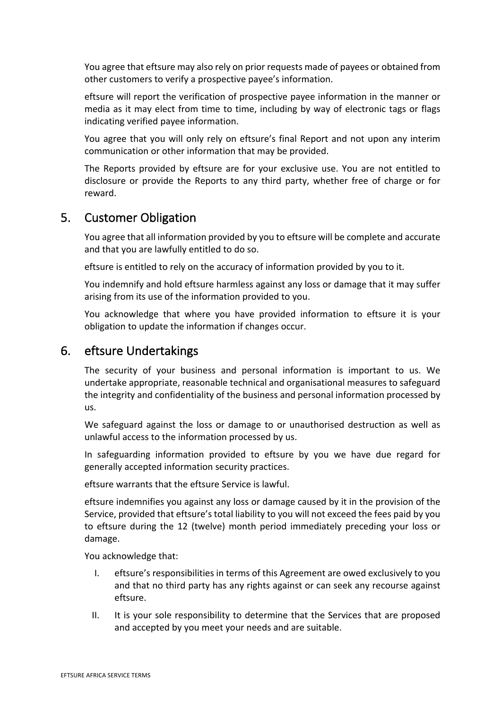You agree that eftsure may also rely on prior requests made of payees or obtained from other customers to verify a prospective payee's information.

eftsure will report the verification of prospective payee information in the manner or media as it may elect from time to time, including by way of electronic tags or flags indicating verified payee information.

You agree that you will only rely on eftsure's final Report and not upon any interim communication or other information that may be provided.

The Reports provided by eftsure are for your exclusive use. You are not entitled to disclosure or provide the Reports to any third party, whether free of charge or for reward.

### 5. Customer Obligation

You agree that all information provided by you to eftsure will be complete and accurate and that you are lawfully entitled to do so.

eftsure is entitled to rely on the accuracy of information provided by you to it.

You indemnify and hold eftsure harmless against any loss or damage that it may suffer arising from its use of the information provided to you.

You acknowledge that where you have provided information to eftsure it is your obligation to update the information if changes occur.

#### 6. eftsure Undertakings

The security of your business and personal information is important to us. We undertake appropriate, reasonable technical and organisational measures to safeguard the integrity and confidentiality of the business and personal information processed by us.

We safeguard against the loss or damage to or unauthorised destruction as well as unlawful access to the information processed by us.

In safeguarding information provided to eftsure by you we have due regard for generally accepted information security practices.

eftsure warrants that the eftsure Service is lawful.

eftsure indemnifies you against any loss or damage caused by it in the provision of the Service, provided that eftsure's total liability to you will not exceed the fees paid by you to eftsure during the 12 (twelve) month period immediately preceding your loss or damage.

You acknowledge that:

- I. eftsure's responsibilities in terms of this Agreement are owed exclusively to you and that no third party has any rights against or can seek any recourse against eftsure.
- II. It is your sole responsibility to determine that the Services that are proposed and accepted by you meet your needs and are suitable.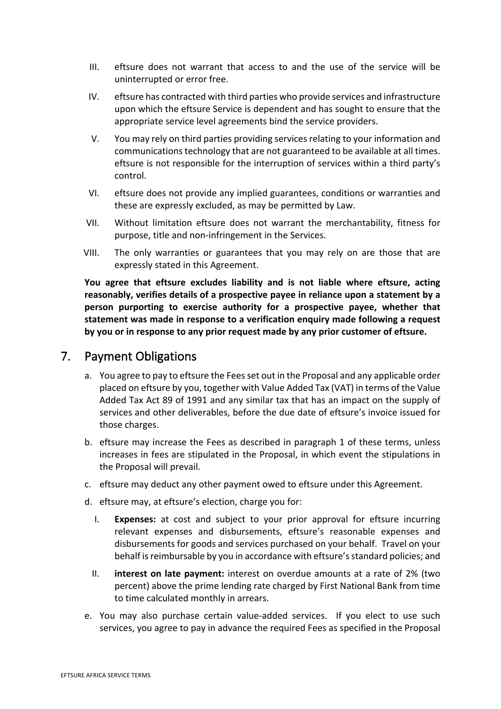- III. eftsure does not warrant that access to and the use of the service will be uninterrupted or error free.
- IV. eftsure has contracted with third parties who provide services and infrastructure upon which the eftsure Service is dependent and has sought to ensure that the appropriate service level agreements bind the service providers.
- V. You may rely on third parties providing services relating to your information and communications technology that are not guaranteed to be available at all times. eftsure is not responsible for the interruption of services within a third party's control.
- VI. eftsure does not provide any implied guarantees, conditions or warranties and these are expressly excluded, as may be permitted by Law.
- VII. Without limitation eftsure does not warrant the merchantability, fitness for purpose, title and non-infringement in the Services.
- VIII. The only warranties or guarantees that you may rely on are those that are expressly stated in this Agreement.

**You agree that eftsure excludes liability and is not liable where eftsure, acting reasonably, verifies details of a prospective payee in reliance upon a statement by a person purporting to exercise authority for a prospective payee, whether that statement was made in response to a verification enquiry made following a request by you or in response to any prior request made by any prior customer of eftsure.**

#### 7. Payment Obligations

- a. You agree to pay to eftsure the Fees set out in the Proposal and any applicable order placed on eftsure by you, together with Value Added Tax (VAT) in terms of the Value Added Tax Act 89 of 1991 and any similar tax that has an impact on the supply of services and other deliverables, before the due date of eftsure's invoice issued for those charges.
- b. eftsure may increase the Fees as described in paragraph 1 of these terms, unless increases in fees are stipulated in the Proposal, in which event the stipulations in the Proposal will prevail.
- c. eftsure may deduct any other payment owed to eftsure under this Agreement.
- d. eftsure may, at eftsure's election, charge you for:
	- I. **Expenses:** at cost and subject to your prior approval for eftsure incurring relevant expenses and disbursements, eftsure's reasonable expenses and disbursements for goods and services purchased on your behalf. Travel on your behalf is reimbursable by you in accordance with eftsure's standard policies; and
	- II. **interest on late payment:** interest on overdue amounts at a rate of 2% (two percent) above the prime lending rate charged by First National Bank from time to time calculated monthly in arrears.
- e. You may also purchase certain value-added services. If you elect to use such services, you agree to pay in advance the required Fees as specified in the Proposal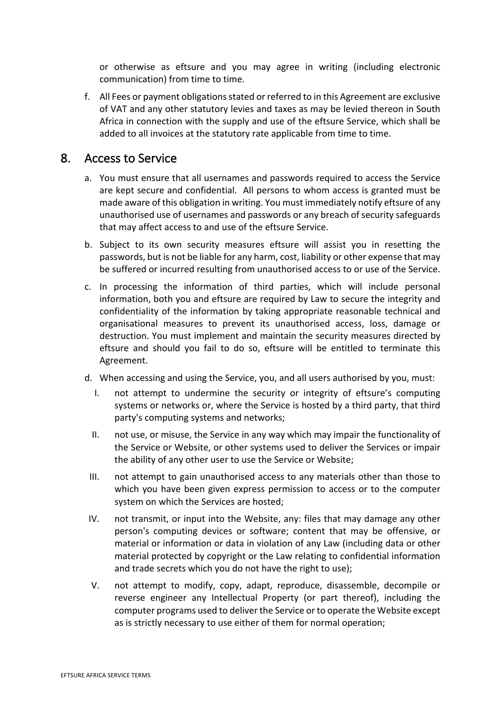or otherwise as eftsure and you may agree in writing (including electronic communication) from time to time.

f. All Fees or payment obligations stated or referred to in this Agreement are exclusive of VAT and any other statutory levies and taxes as may be levied thereon in South Africa in connection with the supply and use of the eftsure Service, which shall be added to all invoices at the statutory rate applicable from time to time.

#### 8. Access to Service

- a. You must ensure that all usernames and passwords required to access the Service are kept secure and confidential. All persons to whom access is granted must be made aware of this obligation in writing. You must immediately notify eftsure of any unauthorised use of usernames and passwords or any breach of security safeguards that may affect access to and use of the eftsure Service.
- b. Subject to its own security measures eftsure will assist you in resetting the passwords, but is not be liable for any harm, cost, liability or other expense that may be suffered or incurred resulting from unauthorised access to or use of the Service.
- c. In processing the information of third parties, which will include personal information, both you and eftsure are required by Law to secure the integrity and confidentiality of the information by taking appropriate reasonable technical and organisational measures to prevent its unauthorised access, loss, damage or destruction. You must implement and maintain the security measures directed by eftsure and should you fail to do so, eftsure will be entitled to terminate this Agreement.
- d. When accessing and using the Service, you, and all users authorised by you, must:
	- I. not attempt to undermine the security or integrity of eftsure's computing systems or networks or, where the Service is hosted by a third party, that third party's computing systems and networks;
	- II. not use, or misuse, the Service in any way which may impair the functionality of the Service or Website, or other systems used to deliver the Services or impair the ability of any other user to use the Service or Website;
- III. not attempt to gain unauthorised access to any materials other than those to which you have been given express permission to access or to the computer system on which the Services are hosted;
- IV. not transmit, or input into the Website, any: files that may damage any other person's computing devices or software; content that may be offensive, or material or information or data in violation of any Law (including data or other material protected by copyright or the Law relating to confidential information and trade secrets which you do not have the right to use);
- V. not attempt to modify, copy, adapt, reproduce, disassemble, decompile or reverse engineer any Intellectual Property (or part thereof), including the computer programs used to deliver the Service or to operate the Website except as is strictly necessary to use either of them for normal operation;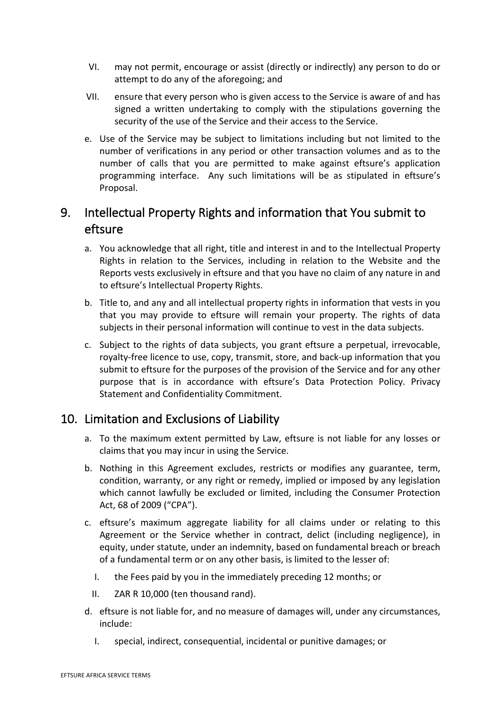- VI. may not permit, encourage or assist (directly or indirectly) any person to do or attempt to do any of the aforegoing; and
- VII. ensure that every person who is given access to the Service is aware of and has signed a written undertaking to comply with the stipulations governing the security of the use of the Service and their access to the Service.
- e. Use of the Service may be subject to limitations including but not limited to the number of verifications in any period or other transaction volumes and as to the number of calls that you are permitted to make against eftsure's application programming interface. Any such limitations will be as stipulated in eftsure's Proposal.

# 9. Intellectual Property Rights and information that You submit to eftsure

- a. You acknowledge that all right, title and interest in and to the Intellectual Property Rights in relation to the Services, including in relation to the Website and the Reports vests exclusively in eftsure and that you have no claim of any nature in and to eftsure's Intellectual Property Rights.
- b. Title to, and any and all intellectual property rights in information that vests in you that you may provide to eftsure will remain your property. The rights of data subjects in their personal information will continue to vest in the data subjects.
- c. Subject to the rights of data subjects, you grant eftsure a perpetual, irrevocable, royalty-free licence to use, copy, transmit, store, and back-up information that you submit to eftsure for the purposes of the provision of the Service and for any other purpose that is in accordance with eftsure's Data Protection Policy. Privacy Statement and Confidentiality Commitment.

## 10. Limitation and Exclusions of Liability

- a. To the maximum extent permitted by Law, eftsure is not liable for any losses or claims that you may incur in using the Service.
- b. Nothing in this Agreement excludes, restricts or modifies any guarantee, term, condition, warranty, or any right or remedy, implied or imposed by any legislation which cannot lawfully be excluded or limited, including the Consumer Protection Act, 68 of 2009 ("CPA").
- c. eftsure's maximum aggregate liability for all claims under or relating to this Agreement or the Service whether in contract, delict (including negligence), in equity, under statute, under an indemnity, based on fundamental breach or breach of a fundamental term or on any other basis, is limited to the lesser of:
	- I. the Fees paid by you in the immediately preceding 12 months; or
	- II. ZAR R 10,000 (ten thousand rand).
- d. eftsure is not liable for, and no measure of damages will, under any circumstances, include:
	- I. special, indirect, consequential, incidental or punitive damages; or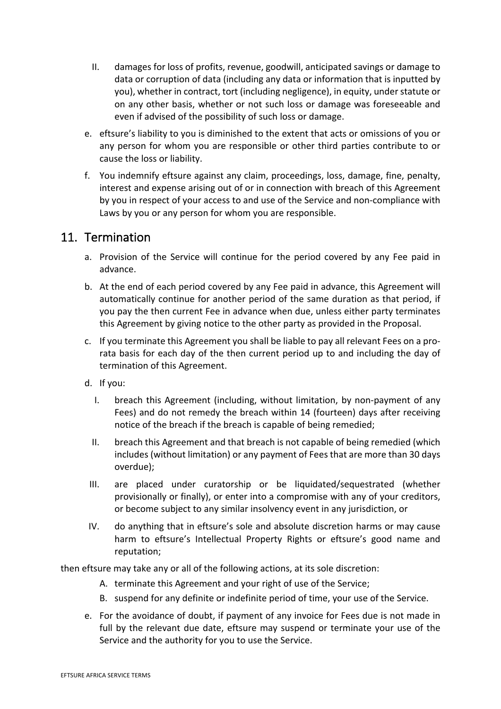- II. damages for loss of profits, revenue, goodwill, anticipated savings or damage to data or corruption of data (including any data or information that is inputted by you), whether in contract, tort (including negligence), in equity, under statute or on any other basis, whether or not such loss or damage was foreseeable and even if advised of the possibility of such loss or damage.
- e. eftsure's liability to you is diminished to the extent that acts or omissions of you or any person for whom you are responsible or other third parties contribute to or cause the loss or liability.
- f. You indemnify eftsure against any claim, proceedings, loss, damage, fine, penalty, interest and expense arising out of or in connection with breach of this Agreement by you in respect of your access to and use of the Service and non-compliance with Laws by you or any person for whom you are responsible.

#### 11. Termination

- a. Provision of the Service will continue for the period covered by any Fee paid in advance.
- b. At the end of each period covered by any Fee paid in advance, this Agreement will automatically continue for another period of the same duration as that period, if you pay the then current Fee in advance when due, unless either party terminates this Agreement by giving notice to the other party as provided in the Proposal.
- c. If you terminate this Agreement you shall be liable to pay all relevant Fees on a prorata basis for each day of the then current period up to and including the day of termination of this Agreement.
- d. If you:
	- I. breach this Agreement (including, without limitation, by non-payment of any Fees) and do not remedy the breach within 14 (fourteen) days after receiving notice of the breach if the breach is capable of being remedied;
	- II. breach this Agreement and that breach is not capable of being remedied (which includes (without limitation) or any payment of Fees that are more than 30 days overdue);
- III. are placed under curatorship or be liquidated/sequestrated (whether provisionally or finally), or enter into a compromise with any of your creditors, or become subject to any similar insolvency event in any jurisdiction, or
- IV. do anything that in eftsure's sole and absolute discretion harms or may cause harm to eftsure's Intellectual Property Rights or eftsure's good name and reputation;

then eftsure may take any or all of the following actions, at its sole discretion:

- A. terminate this Agreement and your right of use of the Service;
- B. suspend for any definite or indefinite period of time, your use of the Service.
- e. For the avoidance of doubt, if payment of any invoice for Fees due is not made in full by the relevant due date, eftsure may suspend or terminate your use of the Service and the authority for you to use the Service.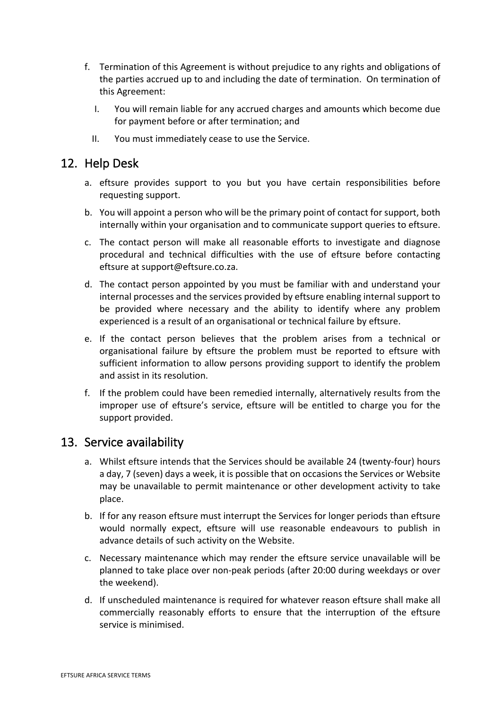- f. Termination of this Agreement is without prejudice to any rights and obligations of the parties accrued up to and including the date of termination. On termination of this Agreement:
	- I. You will remain liable for any accrued charges and amounts which become due for payment before or after termination; and
	- II. You must immediately cease to use the Service.

### 12. Help Desk

- a. eftsure provides support to you but you have certain responsibilities before requesting support.
- b. You will appoint a person who will be the primary point of contact for support, both internally within your organisation and to communicate support queries to eftsure.
- c. The contact person will make all reasonable efforts to investigate and diagnose procedural and technical difficulties with the use of eftsure before contacting eftsure at support@eftsure.co.za.
- d. The contact person appointed by you must be familiar with and understand your internal processes and the services provided by eftsure enabling internal support to be provided where necessary and the ability to identify where any problem experienced is a result of an organisational or technical failure by eftsure.
- e. If the contact person believes that the problem arises from a technical or organisational failure by eftsure the problem must be reported to eftsure with sufficient information to allow persons providing support to identify the problem and assist in its resolution.
- f. If the problem could have been remedied internally, alternatively results from the improper use of eftsure's service, eftsure will be entitled to charge you for the support provided.

#### 13. Service availability

- a. Whilst eftsure intends that the Services should be available 24 (twenty-four) hours a day, 7 (seven) days a week, it is possible that on occasions the Services or Website may be unavailable to permit maintenance or other development activity to take place.
- b. If for any reason eftsure must interrupt the Services for longer periods than eftsure would normally expect, eftsure will use reasonable endeavours to publish in advance details of such activity on the Website.
- c. Necessary maintenance which may render the eftsure service unavailable will be planned to take place over non-peak periods (after 20:00 during weekdays or over the weekend).
- d. If unscheduled maintenance is required for whatever reason eftsure shall make all commercially reasonably efforts to ensure that the interruption of the eftsure service is minimised.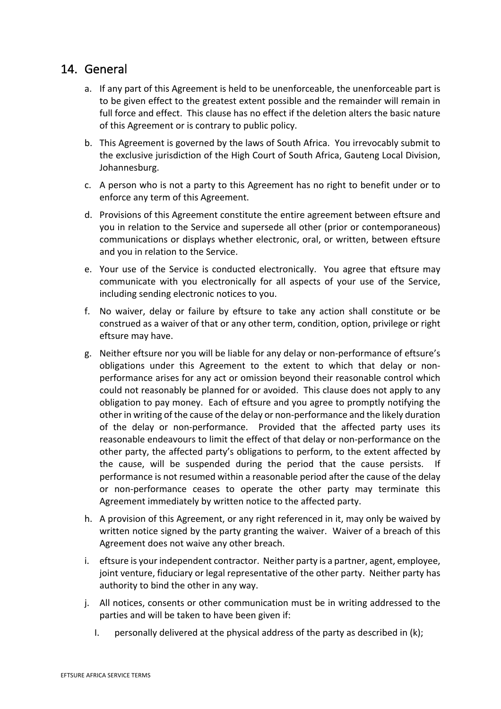#### 14. General

- a. If any part of this Agreement is held to be unenforceable, the unenforceable part is to be given effect to the greatest extent possible and the remainder will remain in full force and effect. This clause has no effect if the deletion alters the basic nature of this Agreement or is contrary to public policy.
- b. This Agreement is governed by the laws of South Africa. You irrevocably submit to the exclusive jurisdiction of the High Court of South Africa, Gauteng Local Division, Johannesburg.
- c. A person who is not a party to this Agreement has no right to benefit under or to enforce any term of this Agreement.
- d. Provisions of this Agreement constitute the entire agreement between eftsure and you in relation to the Service and supersede all other (prior or contemporaneous) communications or displays whether electronic, oral, or written, between eftsure and you in relation to the Service.
- e. Your use of the Service is conducted electronically. You agree that eftsure may communicate with you electronically for all aspects of your use of the Service, including sending electronic notices to you.
- f. No waiver, delay or failure by eftsure to take any action shall constitute or be construed as a waiver of that or any other term, condition, option, privilege or right eftsure may have.
- g. Neither eftsure nor you will be liable for any delay or non-performance of eftsure's obligations under this Agreement to the extent to which that delay or nonperformance arises for any act or omission beyond their reasonable control which could not reasonably be planned for or avoided. This clause does not apply to any obligation to pay money. Each of eftsure and you agree to promptly notifying the other in writing of the cause of the delay or non-performance and the likely duration of the delay or non-performance. Provided that the affected party uses its reasonable endeavours to limit the effect of that delay or non-performance on the other party, the affected party's obligations to perform, to the extent affected by the cause, will be suspended during the period that the cause persists. If performance is not resumed within a reasonable period after the cause of the delay or non-performance ceases to operate the other party may terminate this Agreement immediately by written notice to the affected party.
- h. A provision of this Agreement, or any right referenced in it, may only be waived by written notice signed by the party granting the waiver. Waiver of a breach of this Agreement does not waive any other breach.
- i. eftsure is your independent contractor. Neither party is a partner, agent, employee, joint venture, fiduciary or legal representative of the other party. Neither party has authority to bind the other in any way.
- j. All notices, consents or other communication must be in writing addressed to the parties and will be taken to have been given if:
	- I. personally delivered at the physical address of the party as described in (k);